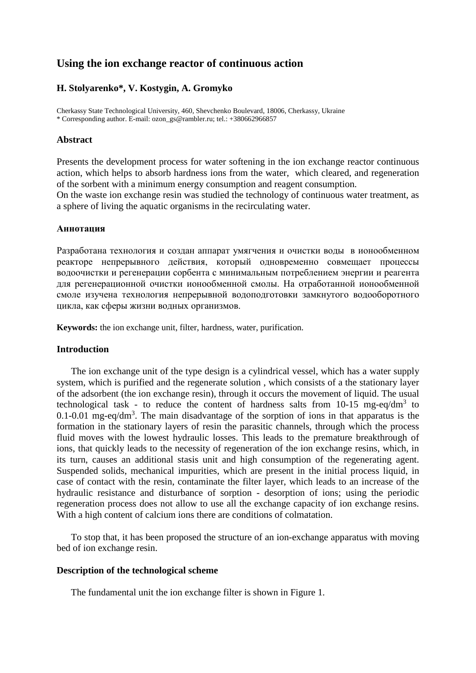# **Using the ion exchange reactor of continuous action**

## **H. Stolyarenko\*, V. Kostygin, A. Gromyko**

Cherkassy State Technological University, 460, Shevchenko Boulevard, 18006, Cherkassy, Ukraine \* Corresponding author. E-mail: ozon\_gs@rambler.ru; tel.: +380662966857

## **Abstract**

Presents the development process for water softening in the ion exchange reactor continuous action, which helps to absorb hardness ions from the water, which cleared, and regeneration of the sorbent with a minimum energy consumption and reagent consumption.

On the waste ion exchange resin was studied the technology of continuous water treatment, as a sphere of living the aquatic organisms in the recirculating water.

#### **Аннотация**

Разработана технология и создан аппарат умягчения и очистки воды в ионообменном реакторе непрерывного действия, который одновременно совмещает процессы водоочистки и регенерации сорбента с минимальным потреблением энергии и реагента для регенерационной очистки ионообменной смолы. На отработанной ионообменной смоле изучена технология непрерывной водоподготовки замкнутого водооборотного цикла, как сферы жизни водных организмов.

**Keywords:** the ion exchange unit, filter, hardness, water, purification.

## **Introduction**

The ion exchange unit of the type design is a cylindrical vessel, which has a water supply system, which is purified and the regenerate solution , which consists of a the stationary layer of the adsorbent (the ion exchange resin), through it occurs the movement of liquid. The usual technological task - to reduce the content of hardness salts from  $10-15$  mg-eq/dm<sup>3</sup> to  $0.1$ -0.01 mg-eq/dm<sup>3</sup>. The main disadvantage of the sorption of ions in that apparatus is the formation in the stationary layers of resin the parasitic channels, through which the process fluid moves with the lowest hydraulic losses. This leads to the premature breakthrough of ions, that quickly leads to the necessity of regeneration of the ion exchange resins, which, in its turn, causes an additional stasis unit and high consumption of the regenerating agent. Suspended solids, mechanical impurities, which are present in the initial process liquid, in case of contact with the resin, contaminate the filter layer, which leads to an increase of the hydraulic resistance and disturbance of sorption - desorption of ions; using the periodic regeneration process does not allow to use all the exchange capacity of ion exchange resins. With a high content of calcium ions there are conditions of colmatation.

To stop that, it has been proposed the structure of an ion-exchange apparatus with moving bed of ion exchange resin.

#### **Description of the technological scheme**

The fundamental unit the ion exchange filter is shown in Figure 1.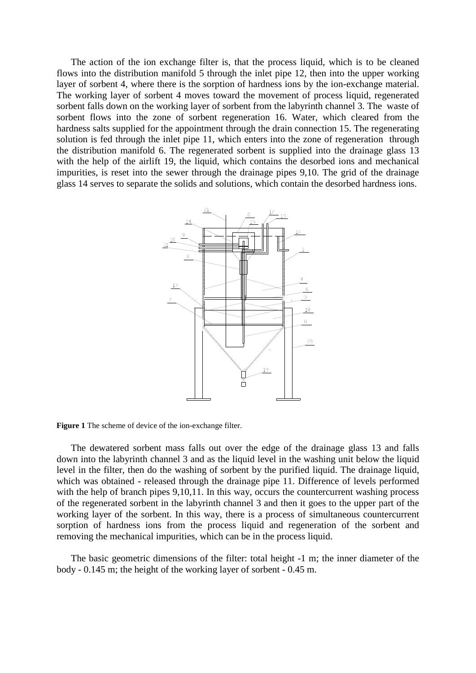The action of the ion exchange filter is, that the process liquid, which is to be cleaned flows into the distribution manifold 5 through the inlet pipe 12, then into the upper working layer of sorbent 4, where there is the sorption of hardness ions by the ion-exchange material. The working layer of sorbent 4 moves toward the movement of process liquid, regenerated sorbent falls down on the working layer of sorbent from the labyrinth channel 3. The waste of sorbent flows into the zone of sorbent regeneration 16. Water, which cleared from the hardness salts supplied for the appointment through the drain connection 15. The regenerating solution is fed through the inlet pipe 11, which enters into the zone of regeneration through the distribution manifold 6. The regenerated sorbent is supplied into the drainage glass 13 with the help of the airlift 19, the liquid, which contains the desorbed ions and mechanical impurities, is reset into the sewer through the drainage pipes 9,10. The grid of the drainage glass 14 serves to separate the solids and solutions, which contain the desorbed hardness ions.



**Figure 1** The scheme of device of the ion-exchange filter.

The dewatered sorbent mass falls out over the edge of the drainage glass 13 and falls down into the labyrinth channel 3 and as the liquid level in the washing unit below the liquid level in the filter, then do the washing of sorbent by the purified liquid. The drainage liquid, which was obtained - released through the drainage pipe 11. Difference of levels performed with the help of branch pipes 9,10,11. In this way, occurs the countercurrent washing process of the regenerated sorbent in the labyrinth channel 3 and then it goes to the upper part of the working layer of the sorbent. In this way, there is a process of simultaneous countercurrent sorption of hardness ions from the process liquid and regeneration of the sorbent and removing the mechanical impurities, which can be in the process liquid.

The basic geometric dimensions of the filter: total height -1 m; the inner diameter of the body - 0.145 m; the height of the working layer of sorbent - 0.45 m.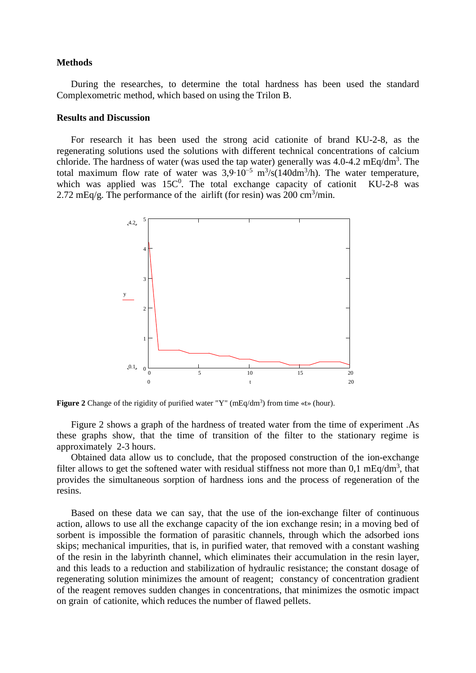#### **Methods**

During the researches, to determine the total hardness has been used the standard Complexometric method, which based on using the Trilon B.

## **Results and Discussion**

For research it has been used the strong acid cationite of brand KU-2-8, as the regenerating solutions used the solutions with different technical concentrations of calcium chloride. The hardness of water (was used the tap water) generally was  $4.0$ - $4.2 \text{ mEq/dm}^3$ . The total maximum flow rate of water was  $3.9 \cdot 10^{-5}$  m<sup>3</sup>/s(140dm<sup>3</sup>/h). The water temperature, which was applied was  $15C^0$ . The total exchange capacity of cationit KU-2-8 was 2.72 mEq/g. The performance of the airlift (for resin) was 200 cm<sup>3</sup>/min.



Figure 2 Change of the rigidity of purified water "Y" (mEq/dm<sup>3</sup>) from time «t» (hour).

Figure 2 shows a graph of the hardness of treated water from the time of experiment .As these graphs show, that the time of transition of the filter to the stationary regime is approximately 2-3 hours.

Obtained data allow us to conclude, that the proposed construction of the ion-exchange filter allows to get the softened water with residual stiffness not more than  $0,1 \text{ mEq/dm}^3$ , that provides the simultaneous sorption of hardness ions and the process of regeneration of the resins.

Based on these data we can say, that the use of the ion-exchange filter of continuous action, allows to use all the exchange capacity of the ion exchange resin; in a moving bed of sorbent is impossible the formation of parasitic channels, through which the adsorbed ions skips; mechanical impurities, that is, in purified water, that removed with a constant washing of the resin in the labyrinth channel, which eliminates their accumulation in the resin layer, and this leads to a reduction and stabilization of hydraulic resistance; the constant dosage of regenerating solution minimizes the amount of reagent; constancy of concentration gradient of the reagent removes sudden changes in concentrations, that minimizes the osmotic impact on grain of cationite, which reduces the number of flawed pellets.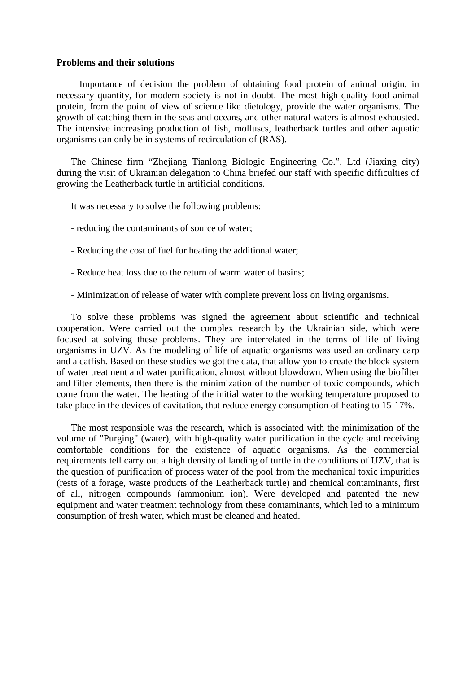#### **Problems and their solutions**

Importance of decision the problem of obtaining food protein of animal origin, in necessary quantity, for modern society is not in doubt. The most high-quality food animal protein, from the point of view of science like dietology, provide the water organisms. The growth of catching them in the seas and oceans, and other natural waters is almost exhausted. The intensive increasing production of fish, molluscs, leatherback turtles and other aquatic organisms can only be in systems of recirculation of (RAS).

The Chinese firm "Zhejiang Tianlong Biologic Engineering Co.", Ltd (Jiaxing city) during the visit of Ukrainian delegation to China briefed our staff with specific difficulties of growing the Leatherback turtle in artificial conditions.

It was necessary to solve the following problems:

- reducing the contaminants of source of water;
- Reducing the cost of fuel for heating the additional water;
- Reduce heat loss due to the return of warm water of basins;
- Minimization of release of water with complete prevent loss on living organisms.

To solve these problems was signed the agreement about scientific and technical cooperation. Were carried out the complex research by the Ukrainian side, which were focused at solving these problems. They are interrelated in the terms of life of living organisms in UZV. As the modeling of life of aquatic organisms was used an ordinary carp and a catfish. Based on these studies we got the data, that allow you to create the block system of water treatment and water purification, almost without blowdown. When using the biofilter and filter elements, then there is the minimization of the number of toxic compounds, which come from the water. The heating of the initial water to the working temperature proposed to take place in the devices of cavitation, that reduce energy consumption of heating to 15-17%.

The most responsible was the research, which is associated with the minimization of the volume of "Purging" (water), with high-quality water purification in the cycle and receiving comfortable conditions for the existence of aquatic organisms. As the commercial requirements tell carry out a high density of landing of turtle in the conditions of UZV, that is the question of purification of process water of the pool from the mechanical toxic impurities (rests of a forage, waste products of the Leatherback turtle) and chemical contaminants, first of all, nitrogen compounds (ammonium ion). Were developed and patented the new equipment and water treatment technology from these contaminants, which led to a minimum consumption of fresh water, which must be cleaned and heated.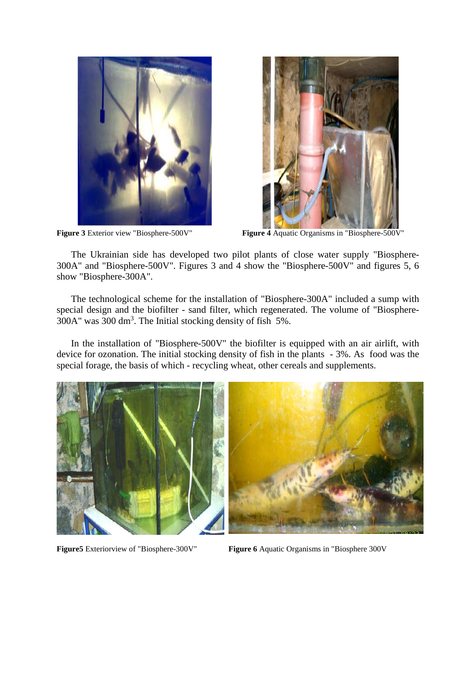



**Figure 3** Exterior view "Biosphere-500V" **Figure 4** Aquatic Organisms in "Biosphere-500V"

The Ukrainian side has developed two pilot plants of close water supply "Biosphere-300A" and "Biosphere-500V". Figures 3 and 4 show the "Biosphere-500V" and figures 5, 6 show "Biosphere-300A".

The technological scheme for the installation of "Biosphere-300A" included a sump with special design and the biofilter - sand filter, which regenerated. The volume of "Biosphere-300A" was 300 dm<sup>3</sup>. The Initial stocking density of fish  $5\%$ .

In the installation of "Biosphere-500V" the biofilter is equipped with an air airlift, with device for ozonation. The initial stocking density of fish in the plants - 3%. As food was the special forage, the basis of which - recycling wheat, other cereals and supplements.



**Figure5** Exteriorview of "Biosphere-300V" **Figure 6** Aquatic Organisms in "Biosphere 300V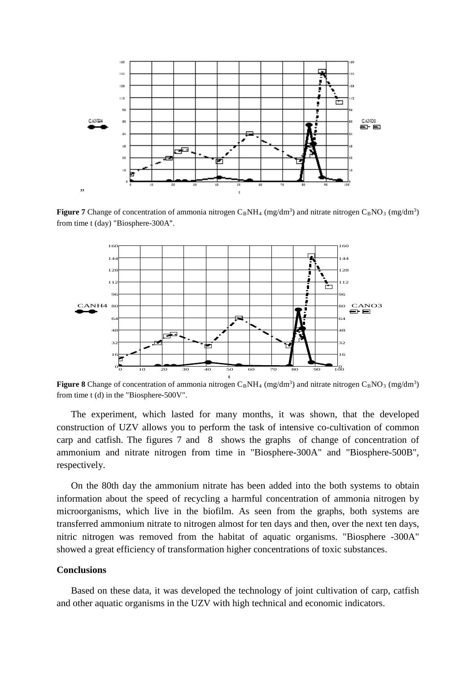

**Figure 7** Change of concentration of ammonia nitrogen  $C_BNH_4$  (mg/dm<sup>3</sup>) and nitrate nitrogen  $C_BNO_3$  (mg/dm<sup>3</sup>) from time t (day) "Biosphere-300A".



**Figure 8** Change of concentration of ammonia nitrogen  $C_BNH_4$  (mg/dm<sup>3</sup>) and nitrate nitrogen  $C_BNO_3$  (mg/dm<sup>3</sup>) from time t (d) in the "Biosphere-500V".

The experiment, which lasted for many months, it was shown, that the developed construction of UZV allows you to perform the task of intensive co-cultivation of common carp and catfish. The figures 7 and 8 shows the graphs of change of concentration of ammonium and nitrate nitrogen from time in "Biosphere-300A" and "Biosphere-500B", respectively.

On the 80th day the ammonium nitrate has been added into the both systems to obtain information about the speed of recycling a harmful concentration of ammonia nitrogen by microorganisms, which live in the biofilm. As seen from the graphs, both systems are transferred ammonium nitrate to nitrogen almost for ten days and then, over the next ten days, nitric nitrogen was removed from the habitat of aquatic organisms. "Biosphere -300A" showed a great efficiency of transformation higher concentrations of toxic substances.

#### **Conclusions**

Based on these data, it was developed the technology of joint cultivation of carp, catfish and other aquatic organisms in the UZV with high technical and economic indicators.